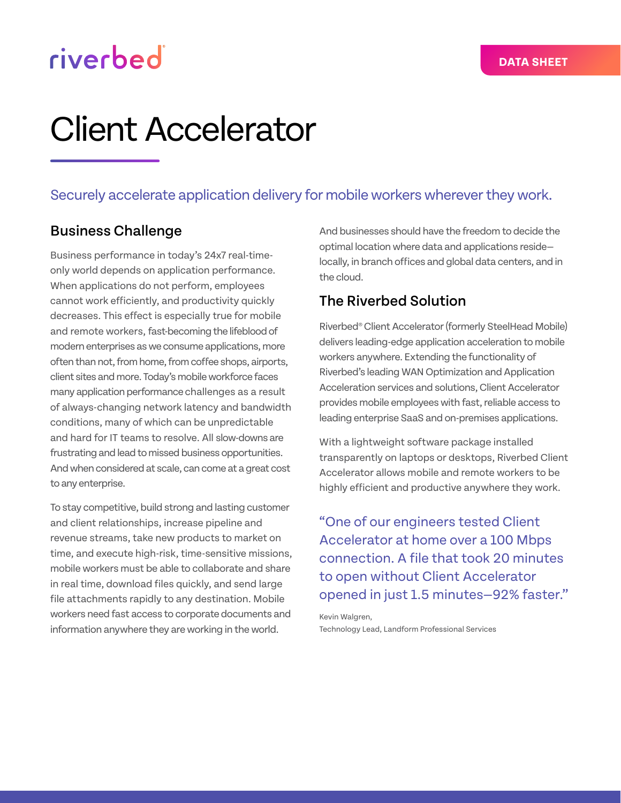# riverbed

# Client Accelerator

## Securely accelerate application delivery for mobile workers wherever they work.

## Business Challenge

Business performance in today's 24x7 real-timeonly world depends on application performance. When applications do not perform, employees cannot work efficiently, and productivity quickly decreases. This effect is especially true for mobile and remote workers, fast-becoming the lifeblood of modern enterprises as we consume applications, more often than not, from home, from coffee shops, airports, client sites and more. Today's mobile workforce faces many application performance challenges as a result of always-changing network latency and bandwidth conditions, many of which can be unpredictable and hard for IT teams to resolve. All slow-downs are frustrating and lead to missed business opportunities. And when considered at scale, can come at a great cost to any enterprise.

To stay competitive, build strong and lasting customer and client relationships, increase pipeline and revenue streams, take new products to market on time, and execute high-risk, time-sensitive missions, mobile workers must be able to collaborate and share in real time, download files quickly, and send large file attachments rapidly to any destination. Mobile workers need fast access to corporate documents and information anywhere they are working in the world.

And businesses should have the freedom to decide the optimal location where data and applications reside locally, in branch offices and global data centers, and in the cloud.

## The Riverbed Solution

Riverbed® Client Accelerator (formerly SteelHead Mobile) delivers leading-edge application acceleration to mobile workers anywhere. Extending the functionality of Riverbed's leading WAN Optimization and Application Acceleration services and solutions, Client Accelerator provides mobile employees with fast, reliable access to leading enterprise SaaS and on-premises applications.

With a lightweight software package installed transparently on laptops or desktops, Riverbed Client Accelerator allows mobile and remote workers to be highly efficient and productive anywhere they work.

"One of our engineers tested Client Accelerator at home over a 100 Mbps connection. A file that took 20 minutes to open without Client Accelerator opened in just 1.5 minutes—92% faster."

Kevin Walgren, Technology Lead, Landform Professional Services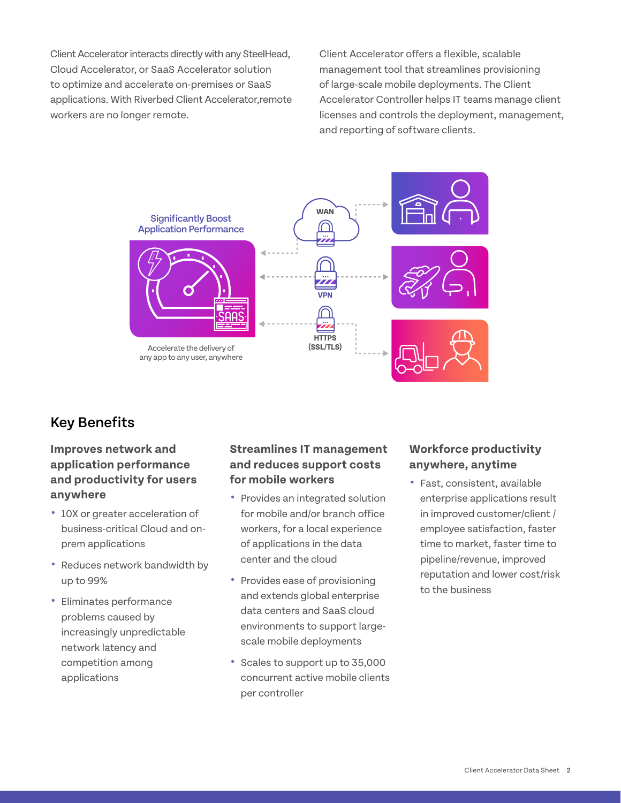Client Accelerator interacts directly with any SteelHead, Cloud Accelerator, or SaaS Accelerator solution to optimize and accelerate on-premises or SaaS applications. With Riverbed Client Accelerator,remote workers are no longer remote.

Client Accelerator offers a flexible, scalable management tool that streamlines provisioning of large-scale mobile deployments. The Client Accelerator Controller helps IT teams manage client licenses and controls the deployment, management, and reporting of software clients.



## Key Benefits

#### **Improves network and application performance and productivity for users anywhere**

- **•** 10X or greater acceleration of business-critical Cloud and onprem applications
- **•** Reduces network bandwidth by up to 99%
- **•** Eliminates performance problems caused by increasingly unpredictable network latency and competition among applications

#### **Streamlines IT management and reduces support costs for mobile workers**

- **•** Provides an integrated solution for mobile and/or branch office workers, for a local experience of applications in the data center and the cloud
- **•** Provides ease of provisioning and extends global enterprise data centers and SaaS cloud environments to support largescale mobile deployments
- **•** Scales to support up to 35,000 concurrent active mobile clients per controller

#### **Workforce productivity anywhere, anytime**

**•** Fast, consistent, available enterprise applications result in improved customer/client / employee satisfaction, faster time to market, faster time to pipeline/revenue, improved reputation and lower cost/risk to the business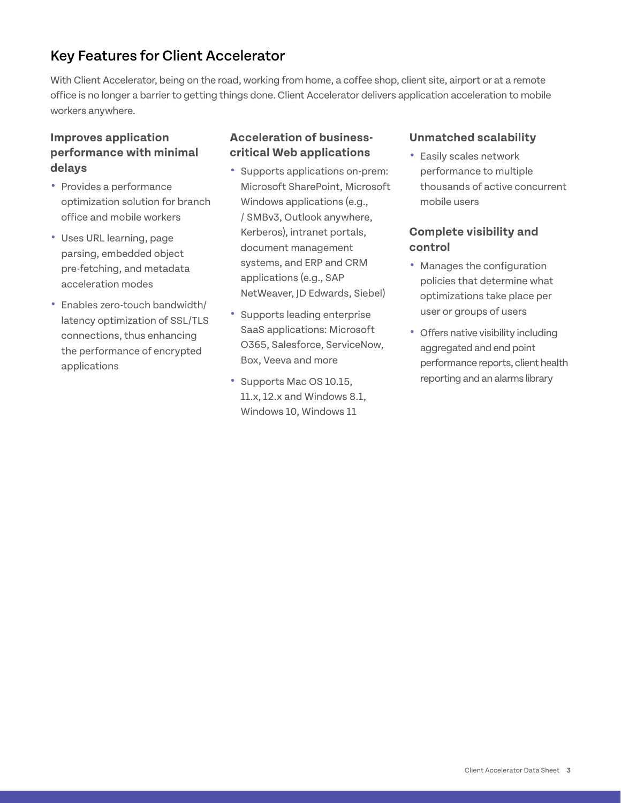## Key Features for Client Accelerator

With Client Accelerator, being on the road, working from home, a coffee shop, client site, airport or at a remote office is no longer a barrier to getting things done. Client Accelerator delivers application acceleration to mobile workers anywhere.

#### **Improves application performance with minimal delays**

- **•** Provides a performance optimization solution for branch office and mobile workers
- **•** Uses URL learning, page parsing, embedded object pre-fetching, and metadata acceleration modes
- **•** Enables zero-touch bandwidth/ latency optimization of SSL/TLS connections, thus enhancing the performance of encrypted applications

#### **Acceleration of businesscritical Web applications**

- **•** Supports applications on-prem: Microsoft SharePoint, Microsoft Windows applications (e.g., / SMBv3, Outlook anywhere, Kerberos), intranet portals, document management systems, and ERP and CRM applications (e.g., SAP NetWeaver, JD Edwards, Siebel)
- **•** Supports leading enterprise SaaS applications: Microsoft O365, Salesforce, ServiceNow, Box, Veeva and more
- **•** Supports Mac OS 10.15, 11.x, 12.x and Windows 8.1, Windows 10, Windows 11

#### **Unmatched scalability**

**•** Easily scales network performance to multiple thousands of active concurrent mobile users

#### **Complete visibility and control**

- **•** Manages the configuration policies that determine what optimizations take place per user or groups of users
- **•** Offers native visibility including aggregated and end point performance reports, client health reporting and an alarms library